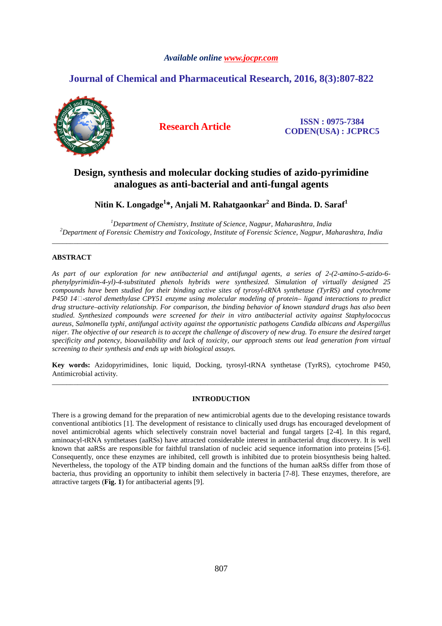# *Available online www.jocpr.com*

# **Journal of Chemical and Pharmaceutical Research, 2016, 8(3):807-822**



**Research Article ISSN : 0975-7384 CODEN(USA) : JCPRC5**

# **Design, synthesis and molecular docking studies of azido-pyrimidine analogues as anti-bacterial and anti-fungal agents**

**Nitin K. Longadge<sup>1</sup> \*, Anjali M. Rahatgaonkar<sup>2</sup> and Binda. D. Saraf<sup>1</sup>**

*<sup>1</sup>Department of Chemistry, Institute of Science, Nagpur, Maharashtra, India <sup>2</sup>Department of Forensic Chemistry and Toxicology, Institute of Forensic Science, Nagpur, Maharashtra, India* \_\_\_\_\_\_\_\_\_\_\_\_\_\_\_\_\_\_\_\_\_\_\_\_\_\_\_\_\_\_\_\_\_\_\_\_\_\_\_\_\_\_\_\_\_\_\_\_\_\_\_\_\_\_\_\_\_\_\_\_\_\_\_\_\_\_\_\_\_\_\_\_\_\_\_\_\_\_\_\_\_\_\_\_\_\_\_\_\_\_\_\_\_

# **ABSTRACT**

*As part of our exploration for new antibacterial and antifungal agents, a series of 2-(2-amino-5-azido-6 phenylpyrimidin-4-yl)-4-substituted phenols hybrids were synthesized. Simulation of virtually designed 25 compounds have been studied for their binding active sites of tyrosyl-tRNA synthetase (TyrRS) and cytochrome P450 14-sterol demethylase CPY51 enzyme using molecular modeling of protein– ligand interactions to predict drug structure–activity relationship. For comparison, the binding behavior of known standard drugs has also been studied. Synthesized compounds were screened for their in vitro antibacterial activity against Staphylococcus aureus, Salmonella typhi, antifungal activity against the opportunistic pathogens Candida albicans and Aspergillus niger. The objective of our research is to accept the challenge of discovery of new drug. To ensure the desired target specificity and potency, bioavailability and lack of toxicity, our approach stems out lead generation from virtual screening to their synthesis and ends up with biological assays.* 

**Key words:** Azidopyrimidines, Ionic liquid, Docking, tyrosyl-tRNA synthetase (TyrRS), cytochrome P450, Antimicrobial activity. \_\_\_\_\_\_\_\_\_\_\_\_\_\_\_\_\_\_\_\_\_\_\_\_\_\_\_\_\_\_\_\_\_\_\_\_\_\_\_\_\_\_\_\_\_\_\_\_\_\_\_\_\_\_\_\_\_\_\_\_\_\_\_\_\_\_\_\_\_\_\_\_\_\_\_\_\_\_\_\_\_\_\_\_\_\_\_\_\_\_\_\_\_

# **INTRODUCTION**

There is a growing demand for the preparation of new antimicrobial agents due to the developing resistance towards conventional antibiotics [1]. The development of resistance to clinically used drugs has encouraged development of novel antimicrobial agents which selectively constrain novel bacterial and fungal targets [2-4]. In this regard, aminoacyl-tRNA synthetases (aaRSs) have attracted considerable interest in antibacterial drug discovery. It is well known that aaRSs are responsible for faithful translation of nucleic acid sequence information into proteins [5-6]. Consequently, once these enzymes are inhibited, cell growth is inhibited due to protein biosynthesis being halted. Nevertheless, the topology of the ATP binding domain and the functions of the human aaRSs differ from those of bacteria, thus providing an opportunity to inhibit them selectively in bacteria [7-8]. These enzymes, therefore, are attractive targets (**Fig. 1**) for antibacterial agents [9].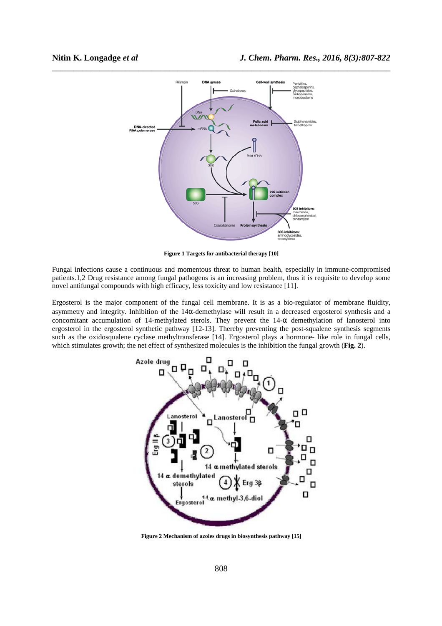

**Figure 1 Targets for antibacterial therapy [10]** 

Fungal infections cause a continuous and momentous threat to human health, especially in immune-compromised patients.1,2 Drug resistance among fungal pathogens is an increasing problem, thus it is requisite to develop some novel antifungal compounds with high efficacy, less toxicity and low resistance [11].

Ergosterol is the major component of the fungal cell membrane. It is as a bio-regulator of membrane fluidity, asymmetry and integrity. Inhibition of the 14α-demethylase will result in a decreased ergosterol synthesis and a concomitant accumulation of 14-methylated sterols. They prevent the  $14-\alpha$  demethylation of lanosterol into ergosterol in the ergosterol synthetic pathway [12-13]. Thereby preventing the post-squalene synthesis segments such as the oxidosqualene cyclase methyltransferase [14]. Ergosterol plays a hormone- like role in fungal cells, which stimulates growth; the net effect of synthesized molecules is the inhibition the fungal growth (**Fig. 2**).



**Figure 2 Mechanism of azoles drugs in biosynthesis pathway [15]**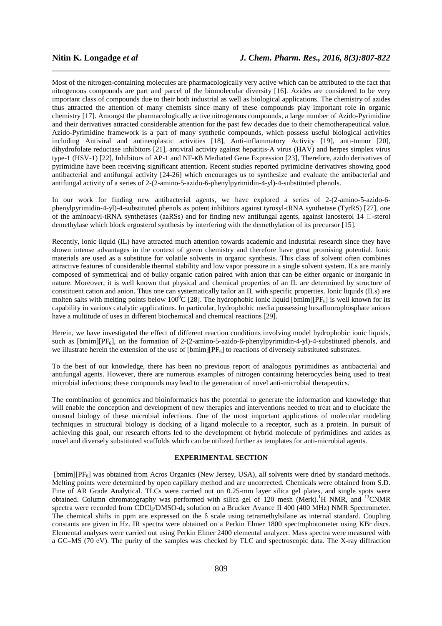Most of the nitrogen-containing molecules are pharmacologically very active which can be attributed to the fact that nitrogenous compounds are part and parcel of the biomolecular diversity [16]. Azides are considered to be very important class of compounds due to their both industrial as well as biological applications. The chemistry of azides thus attracted the attention of many chemists since many of these compounds play important role in organic chemistry [17]. Amongst the pharmacologically active nitrogenous compounds, a large number of Azido-Pyrimidine and their derivatives attracted considerable attention for the past few decades due to their chemotherapeutical value. Azido-Pyrimidine framework is a part of many synthetic compounds, which possess useful biological activities including Antiviral and antineoplastic activities [18], Anti-inflammatory Activity [19], anti-tumor [20], dihydrofolate reductase inhibitors [21], antiviral activity against hepatitis-A virus (HAV) and herpes simplex virus type-1 (HSV-1) [22], Inhibitors of AP-1 and NF-κB Mediated Gene Expression [23], Therefore, azido derivatives of pyrimidine have been receiving significant attention. Recent studies reported pyrimidine derivatives showing good antibacterial and antifungal activity [24-26] which encourages us to synthesize and evaluate the antibacterial and antifungal activity of a series of 2-(2-amino-5-azido-6-phenylpyrimidin-4-yl)-4-substituted phenols.

\_\_\_\_\_\_\_\_\_\_\_\_\_\_\_\_\_\_\_\_\_\_\_\_\_\_\_\_\_\_\_\_\_\_\_\_\_\_\_\_\_\_\_\_\_\_\_\_\_\_\_\_\_\_\_\_\_\_\_\_\_\_\_\_\_\_\_\_\_\_\_\_\_\_\_\_\_\_

In our work for finding new antibacterial agents, we have explored a series of 2-(2-amino-5-azido-6 phenylpyrimidin-4-yl)-4-substituted phenols as potent inhibitors against tyrosyl-tRNA synthetase (TyrRS) [27], one of the aminoacyl-tRNA synthetases (aaRSs) and for finding new antifungal agents, against lanosterol 14  $\Box$ -sterol demethylase which block ergosterol synthesis by interfering with the demethylation of its precursor [15].

Recently, ionic liquid (IL) have attracted much attention towards academic and industrial research since they have shown intense advantages in the context of green chemistry and therefore have great promising potential. Ionic materials are used as a substitute for volatile solvents in organic synthesis. This class of solvent often combines attractive features of considerable thermal stability and low vapor pressure in a single solvent system. ILs are mainly composed of symmetrical and of bulky organic cation paired with anion that can be either organic or inorganic in nature. Moreover, it is well known that physical and chemical properties of an IL are determined by structure of constituent cation and anion. Thus one can systematically tailor an IL with specific properties. Ionic liquids (ILs) are molten salts with melting points below 100<sup>°</sup>C [28]. The hydrophobic ionic liquid [bmim][PF<sub>6</sub>] is well known for its capability in various catalytic applications. In particular, hydrophobic media possessing hexafluorophosphate anions have a multitude of uses in different biochemical and chemical reactions [29].

Herein, we have investigated the effect of different reaction conditions involving model hydrophobic ionic liquids, such as  $[bmin][PF_6]$ , on the formation of 2-(2-amino-5-azido-6-phenylpyrimidin-4-yl)-4-substituted phenols, and we illustrate herein the extension of the use of  ${\rm [bmin][PF_6]}$  to reactions of diversely substituted substrates.

To the best of our knowledge, there has been no previous report of analogous pyrimidines as antibacterial and antifungal agents. However, there are numerous examples of nitrogen containing heterocycles being used to treat microbial infections; these compounds may lead to the generation of novel anti-microbial therapeutics.

The combination of genomics and bioinformatics has the potential to generate the information and knowledge that will enable the conception and development of new therapies and interventions needed to treat and to elucidate the unusual biology of these microbial infections. One of the most important applications of molecular modeling techniques in structural biology is docking of a ligand molecule to a receptor, such as a protein. In pursuit of achieving this goal, our research efforts led to the development of hybrid molecule of pyrimidines and azides as novel and diversely substituted scaffolds which can be utilized further as templates for anti-microbial agents.

### **EXPERIMENTAL SECTION**

[bmim][PF<sub>6</sub>] was obtained from Acros Organics (New Jersey, USA), all solvents were dried by standard methods. Melting points were determined by open capillary method and are uncorrected. Chemicals were obtained from S.D. Fine of AR Grade Analytical. TLCs were carried out on 0.25-mm layer silica gel plates, and single spots were obtained. Column chromatography was performed with silica gel of 120 mesh (Merk).<sup>1</sup>H NMR, and <sup>13</sup>CNMR spectra were recorded from CDCl<sub>3</sub>/DMSO-d<sub>6</sub> solution on a Brucker Avance II 400 (400 MHz) NMR Spectrometer. The chemical shifts in ppm are expressed on the δ scale using tetramethylsilane as internal standard. Coupling constants are given in Hz. IR spectra were obtained on a Perkin Elmer 1800 spectrophotometer using KBr discs. Elemental analyses were carried out using Perkin Elmer 2400 elemental analyzer. Mass spectra were measured with a GC–MS (70 eV). The purity of the samples was checked by TLC and spectroscopic data. The X-ray diffraction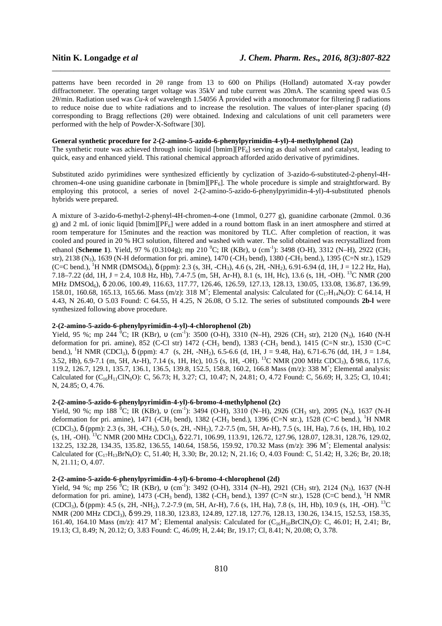patterns have been recorded in 2θ range from 13 to 600 on Philips (Holland) automated X-ray powder diffractometer. The operating target voltage was 35kV and tube current was 20mA. The scanning speed was 0.5 2θ/min. Radiation used was *Cu-k* of wavelength 1.54056 Å provided with a monochromator for filtering β radiations to reduce noise due to white radiations and to increase the resolution. The values of inter-planer spacing (d) corresponding to Bragg reflections (2θ) were obtained. Indexing and calculations of unit cell parameters were performed with the help of Powder-X-Software [30].

\_\_\_\_\_\_\_\_\_\_\_\_\_\_\_\_\_\_\_\_\_\_\_\_\_\_\_\_\_\_\_\_\_\_\_\_\_\_\_\_\_\_\_\_\_\_\_\_\_\_\_\_\_\_\_\_\_\_\_\_\_\_\_\_\_\_\_\_\_\_\_\_\_\_\_\_\_\_

# **General synthetic procedure for 2-(2-amino-5-azido-6-phenylpyrimidin-4-yl)-4-methylphenol (2a)**

The synthetic route was achieved through ionic liquid  $[\text{bmin}][\text{PF}_6]$  serving as dual solvent and catalyst, leading to quick, easy and enhanced yield. This rational chemical approach afforded azido derivative of pyrimidines.

Substituted azido pyrimidines were synthesized efficiently by cyclization of 3-azido-6-substituted-2-phenyl-4Hchromen-4-one using guanidine carbonate in [bmim][ $PF_6$ ]. The whole procedure is simple and straightforward. By employing this protocol, a series of novel 2-(2-amino-5-azido-6-phenylpyrimidin-4-yl)-4-substituted phenols hybrids were prepared.

A mixture of 3-azido-6-methyl-2-phenyl-4H-chromen-4-one (1mmol, 0.277 g), guanidine carbonate (2mmol. 0.36 g) and 2 mL of ionic liquid [bmim][PF6] were added in a round bottom flask in an inert atmosphere and stirred at room temperature for 15minutes and the reaction was monitored by TLC. After completion of reaction, it was cooled and poured in 20 % HCl solution, filtered and washed with water. The solid obtained was recrystallized from ethanol (**Scheme 1**). Yield, 97 % (0.3104g); mp 210 <sup>0</sup>C; IR (KBr), ν (cm<sup>-1</sup>); 3498 (O-H), 3312 (N–H), 2922 (CH<sub>3</sub>) str), 2138 (N<sub>3</sub>), 1639 (N-H deformation for pri. amine), 1470 (-CH<sub>3</sub> bend), 1380 (-CH<sub>3</sub> bend.), 1395 (C=N str.), 1529  $(C=CD \text{ bend.})$ ,  $^{1}$ H NMR (DMSOd<sub>6</sub>),  $\delta$  (ppm): 2.3 (s, 3H, -CH<sub>3</sub>), 4.6 (s, 2H, -NH<sub>2</sub>), 6.91-6.94 (d, 1H, J = 12.2 Hz, Ha), 7.18–7.22 (dd, 1H, J = 2.4, 10.8 Hz, Hb), 7.4-7.5 (m, 5H, Ar-H), 8.1 (s, 1H, Hc), 13.6 (s, 1H, -OH). <sup>13</sup>C NMR (200 MHz DMSOd6), δ 20.06, 100.49, 116.63, 117.77, 126.46, 126.59, 127.13, 128.13, 130.05, 133.08, 136.87, 136.99, 158.01, 160.68, 165.13, 165.66. Mass (m/z): 318 M<sup>+</sup>; Elemental analysis: Calculated for (C<sub>17</sub>H<sub>14</sub>N<sub>6</sub>O): C 64.14, H 4.43, N 26.40, O 5.03 Found: C 64.55, H 4.25, N 26.08, O 5.12. The series of substituted compounds **2b-l** were synthesized following above procedure.

# **2-(2-amino-5-azido-6-phenylpyrimidin-4-yl)-4-chlorophenol (2b)**

Yield, 95 %; mp 244 <sup>0</sup>C; IR (KBr), v (cm<sup>-1</sup>): 3500 (O-H), 3310 (N-H), 2926 (CH<sub>3</sub> str), 2120 (N<sub>3</sub>), 1640 (N-H deformation for pri. amine), 852 (C-Cl str) 1472 (-CH<sub>3</sub> bend), 1383 (-CH<sub>3</sub> bend.), 1415 (C=N str.), 1530 (C=C bend.), <sup>1</sup>H NMR (CDCl<sub>3</sub>),  $\delta$  (ppm): 4.7 (s, 2H, -NH<sub>2</sub>), 6.5-6.6 (d, 1H, J = 9.48, Ha), 6.71-6.76 (dd, 1H, J = 1.84, 3.52, Hb), 6.9-7.1 (m, 5H, Ar-H), 7.14 (s, 1H, Hc), 10.5 (s, 1H, -OH). <sup>13</sup>C NMR (200 MHz CDCl3), δ 98.6, 117.6, 119.2, 126.7, 129.1, 135.7, 136.1, 136.5, 139.8, 152.5, 158.8, 160.2, 166.8 Mass (m/z): 338 M<sup>+</sup> ; Elemental analysis: Calculated for  $(C_{16}H_{11}CIN_6O)$ : C, 56.73; H, 3.27; Cl, 10.47; N, 24.81; O, 4.72 Found: C, 56.69; H, 3.25; Cl, 10.41; N, 24.85; O, 4.76.

### **2-(2-amino-5-azido-6-phenylpyrimidin-4-yl)-6-bromo-4-methylphenol (2c)**

Yield, 90 %; mp 188 <sup>0</sup>C; IR (KBr), v (cm<sup>-1</sup>): 3494 (O-H), 3310 (N–H), 2926 (CH<sub>3</sub> str), 2095 (N<sub>3</sub>), 1637 (N-H deformation for pri. amine), 1471 (-CH<sub>3</sub> bend), 1382 (-CH<sub>3</sub> bend.), 1396 (C=N str.), 1528 (C=C bend.), <sup>1</sup>H NMR (CDCl3), δ (ppm): 2.3 (s, 3H, -CH3), 5.0 (s, 2H, -NH2), 7.2-7.5 (m, 5H, Ar-H), 7.5 (s, 1H, Ha), 7.6 (s, 1H, Hb), 10.2 (s, 1H, -OH). <sup>13</sup>C NMR (200 MHz CDCl3), δ 22.71, 106.99, 113.91, 126.72, 127.96, 128.07, 128.31, 128.76, 129.02, 132.25, 132.28, 134.35, 135.82, 136.55, 140.64, 158.56, 159.92, 170.32 Mass (m/z): 396 M<sup>+</sup> ; Elemental analysis: Calculated for  $(C_{17}H_{13}BrN_6O)$ : C, 51.40; H, 3.30; Br, 20.12; N, 21.16; O, 4.03 Found: C, 51.42; H, 3.26; Br, 20.18; N, 21.11; O, 4.07.

### **2-(2-amino-5-azido-6-phenylpyrimidin-4-yl)-6-bromo-4-chlorophenol (2d)**

Yield, 94 %; mp 256 <sup>0</sup>C; IR (KBr), v (cm<sup>-1</sup>): 3492 (O-H), 3314 (N-H), 2921 (CH<sub>3</sub> str), 2124 (N<sub>3</sub>), 1637 (N-H deformation for pri. amine), 1473 (-CH<sub>3</sub> bend), 1382 (-CH<sub>3</sub> bend.), 1397 (C=N str.), 1528 (C=C bend.), <sup>1</sup>H NMR  $(CDCl_3)$ ,  $\delta$  (ppm): 4.5 (s, 2H, -NH<sub>2</sub>), 7.2-7.9 (m, 5H, Ar-H), 7.6 (s, 1H, Ha), 7.8 (s, 1H, Hb), 10.9 (s, 1H, -OH). <sup>13</sup>C NMR (200 MHz CDCl3), δ 99.29, 118.30, 123.83, 124.89, 127.18, 127.76, 128.13, 130.26, 134.15, 152.53, 158.35, 161.40, 164.10 Mass (m/z): 417 M<sup>+</sup>; Elemental analysis: Calculated for (C<sub>16</sub>H<sub>10</sub>BrClN<sub>6</sub>O): C, 46.01; H, 2.41; Br, 19.13; Cl, 8.49; N, 20.12; O, 3.83 Found: C, 46.09; H, 2.44; Br, 19.17; Cl, 8.41; N, 20.08; O, 3.78.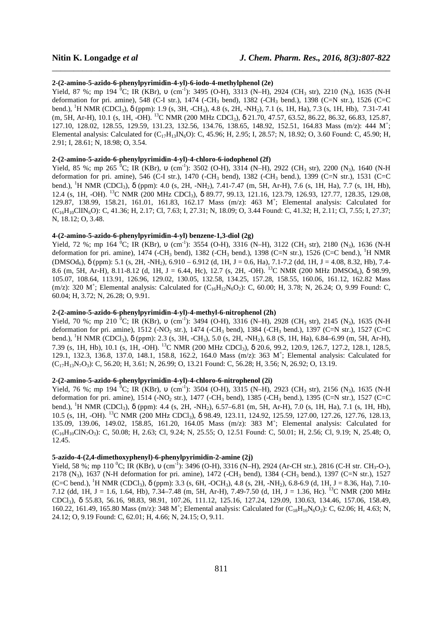### **2-(2-amino-5-azido-6-phenylpyrimidin-4-yl)-6-iodo-4-methylphenol (2e)**

Yield, 87 %; mp 194 <sup>0</sup>C; IR (KBr), v (cm<sup>-1</sup>): 3495 (O-H), 3313 (N-H), 2924 (CH<sub>3</sub> str), 2210 (N<sub>3</sub>), 1635 (N-H deformation for pri. amine), 548 (C-I str.), 1474 (-CH<sub>3</sub> bend), 1382 (-CH<sub>3</sub> bend.), 1398 (C=N str.), 1526 (C=C bend.), <sup>1</sup>H NMR (CDCl3), δ (ppm): 1.9 (s, 3H, -CH3), 4.8 (s, 2H, -NH2), 7.1 (s, 1H, Ha), 7.3 (s, 1H, Hb), 7.31-7.41 (m, 5H, Ar-H), 10.1 (s, 1H, -OH). <sup>13</sup>C NMR (200 MHz CDCl3), δ 21.70, 47.57, 63.52, 86.22, 86.32, 66.83, 125.87, 127.10, 128.02, 128.55, 129.59, 131.23, 132.56, 134.76, 138.65, 148.92, 152.51, 164.83 Mass (m/z): 444 M<sup>+</sup> ; Elemental analysis: Calculated for  $(C_{17}H_{13}N_6O)$ : C, 45.96; H, 2.95; I, 28.57; N, 18.92; O, 3.60 Found: C, 45.90; H, 2.91; I, 28.61; N, 18.98; O, 3.54.

\_\_\_\_\_\_\_\_\_\_\_\_\_\_\_\_\_\_\_\_\_\_\_\_\_\_\_\_\_\_\_\_\_\_\_\_\_\_\_\_\_\_\_\_\_\_\_\_\_\_\_\_\_\_\_\_\_\_\_\_\_\_\_\_\_\_\_\_\_\_\_\_\_\_\_\_\_\_

# **2-(2-amino-5-azido-6-phenylpyrimidin-4-yl)-4-chloro-6-iodophenol (2f)**

Yield, 85 %; mp 265  ${}^{0}C$ ; IR (KBr), v (cm<sup>-1</sup>): 3502 (O-H), 3314 (N–H), 2922 (CH<sub>3</sub> str), 2200 (N<sub>3</sub>), 1640 (N-H deformation for pri. amine), 546 (C-I str.), 1470 (-CH<sub>3</sub> bend), 1382 (-CH<sub>3</sub> bend.), 1399 (C=N str.), 1531 (C=C bend.), <sup>1</sup>H NMR (CDCl3), δ (ppm): 4.0 (s, 2H, -NH2), 7.41-7.47 (m, 5H, Ar-H), 7.6 (s, 1H, Ha), 7.7 (s, 1H, Hb), 12.4 (s, 1H, -OH). <sup>13</sup>C NMR (200 MHz CDCl3), δ 89.77, 99.13, 121.16, 123.79, 126.93, 127.77, 128.35, 129.08, 129.87, 138.99, 158.21, 161.01, 161.83, 162.17 Mass (m/z): 463 M<sup>+</sup> ; Elemental analysis: Calculated for (C16H10ClIN6O): C, 41.36; H, 2.17; Cl, 7.63; I, 27.31; N, 18.09; O, 3.44 Found: C, 41.32; H, 2.11; Cl, 7.55; I, 27.37; N, 18.12; O, 3.48.

# **4-(2-amino-5-azido-6-phenylpyrimidin-4-yl) benzene-1,3-diol (2g)**

Yield, 72 %; mp 164 <sup>0</sup>C; IR (KBr), v (cm<sup>-1</sup>): 3554 (O-H), 3316 (N-H), 3122 (CH<sub>3</sub> str), 2180 (N<sub>3</sub>), 1636 (N-H deformation for pri. amine), 1474 (-CH<sub>3</sub> bend), 1382 (-CH<sub>3</sub> bend.), 1398 (C=N str.), 1526 (C=C bend.), <sup>1</sup>H NMR  $(DMSO_{6})$ ,  $\delta$  (ppm): 5.1 (s, 2H, -NH<sub>2</sub>), 6.910 – 6.912 (d, 1H, J = 0.6, Ha), 7.1-7.2 (dd, 1H, J = 4.08, 8.32, Hb), 7.4-8.6 (m, 5H, Ar-H), 8.11-8.12 (d, 1H, J = 6.44, Hc), 12.7 (s, 2H, -OH). <sup>13</sup>C NMR (200 MHz DMSOd<sub>6</sub>),  $\delta$  98.99, 105.07, 108.64, 113.91, 126.96, 129.02, 130.05, 132.58, 134.25, 157.28, 158.55, 160.06, 161.12, 162.82 Mass  $(m/z)$ : 320 M<sup>+</sup>; Elemental analysis: Calculated for  $(C_{16}H_{12}N_6O_2)$ : C, 60.00; H, 3.78; N, 26.24; O, 9.99 Found: C, 60.04; H, 3.72; N, 26.28; O, 9.91.

# **2-(2-amino-5-azido-6-phenylpyrimidin-4-yl)-4-methyl-6-nitrophenol (2h)**

Yield, 70 %; mp 210 <sup>0</sup>C; IR (KBr), v (cm<sup>-1</sup>): 3494 (O-H), 3316 (N-H), 2928 (CH<sub>3</sub> str), 2145 (N<sub>3</sub>), 1635 (N-H deformation for pri. amine),  $1512$  (-NO<sub>2</sub> str.),  $1474$  (-CH<sub>3</sub> bend),  $1384$  (-CH<sub>3</sub> bend.),  $1397$  (C=N str.),  $1527$  (C=C bend.), <sup>1</sup>H NMR (CDCl<sub>3</sub>),  $\delta$  (ppm): 2.3 (s, 3H, -CH<sub>3</sub>), 5.0 (s, 2H, -NH<sub>2</sub>), 6.8 (S, 1H, Ha), 6.84–6.99 (m, 5H, Ar-H), 7.39 (s, 1H, Hb), 10.1 (s, 1H, -OH). <sup>13</sup>C NMR (200 MHz CDCl3), δ 20.6, 99.2, 120.9, 126.7, 127.2, 128.1, 128.5, 129.1, 132.3, 136.8, 137.0, 148.1, 158.8, 162.2, 164.0 Mass (m/z): 363 M<sup>+</sup>; Elemental analysis: Calculated for  $(C_{17}H_{13}N_7O_3)$ : C, 56.20; H, 3.61; N, 26.99; O, 13.21 Found: C, 56.28; H, 3.56; N, 26.92; O, 13.19.

# **2-(2-amino-5-azido-6-phenylpyrimidin-4-yl)-4-chloro-6-nitrophenol (2i)**

Yield, 76 %; mp 194 <sup>0</sup>C; IR (KBr), v (cm<sup>-1</sup>): 3504 (O-H), 3315 (N-H), 2923 (CH<sub>3</sub> str), 2156 (N<sub>3</sub>), 1635 (N-H deformation for pri. amine), 1514 (-NO<sub>2</sub> str.), 1477 (-CH<sub>3</sub> bend), 1385 (-CH<sub>3</sub> bend.), 1395 (C=N str.), 1527 (C=C bend.), <sup>1</sup>H NMR (CDCl3), δ (ppm): 4.4 (s, 2H, -NH2), 6.57–6.81 (m, 5H, Ar-H), 7.0 (s, 1H, Ha), 7.1 (s, 1H, Hb), 10.5 (s, 1H, -OH). <sup>13</sup>C NMR (200 MHz CDCl3), δ 98.49, 123.11, 124.92, 125.59, 127.00, 127.26, 127.76, 128.13, 135.09, 139.06, 149.02, 158.85, 161.20, 164.05 Mass (m/z): 383 M<sup>+</sup> ; Elemental analysis: Calculated for (C16H10ClN7O3): C, 50.08; H, 2.63; Cl, 9.24; N, 25.55; O, 12.51 Found: C, 50.01; H, 2.56; Cl, 9.19; N, 25.48; O, 12.45.

# **5-azido-4-(2,4-dimethoxyphenyl)-6-phenylpyrimidin-2-amine (2j)**

Yield, 58 %; mp 110 <sup>0</sup>C; IR (KBr), v (cm<sup>-1</sup>): 3496 (O-H), 3316 (N-H), 2924 (Ar-CH str.), 2816 (C-H str. CH<sub>3</sub>-O-), 2178 (N3), 1637 (N-H deformation for pri. amine), 1472 (-CH3 bend), 1384 (-CH3 bend.), 1397 (C=N str.), 1527 (C=C bend.), <sup>1</sup>H NMR (CDCl<sub>3</sub>),  $\delta$  (ppm): 3.3 (s, 6H, -OCH<sub>3</sub>), 4.8 (s, 2H, -NH<sub>2</sub>), 6.8-6.9 (d, 1H, J = 8.36, Ha), 7.10-7.12 (dd, 1H, J = 1.6, 1.64, Hb), 7.34–7.48 (m, 5H, Ar-H), 7.49-7.50 (d, 1H, J = 1.36, Hc). <sup>13</sup>C NMR (200 MHz CDCl3), δ 55.83, 56.16, 98.83, 98.91, 107.26, 111.12, 125.16, 127.24, 129.09, 130.63, 134.46, 157.06, 158.49, 160.22, 161.49, 165.80 Mass (m/z): 348 M<sup>+</sup>; Elemental analysis: Calculated for (C<sub>18</sub>H<sub>16</sub>N<sub>6</sub>O<sub>2</sub>): C, 62.06; H, 4.63; N, 24.12; O, 9.19 Found: C, 62.01; H, 4.66; N, 24.15; O, 9.11.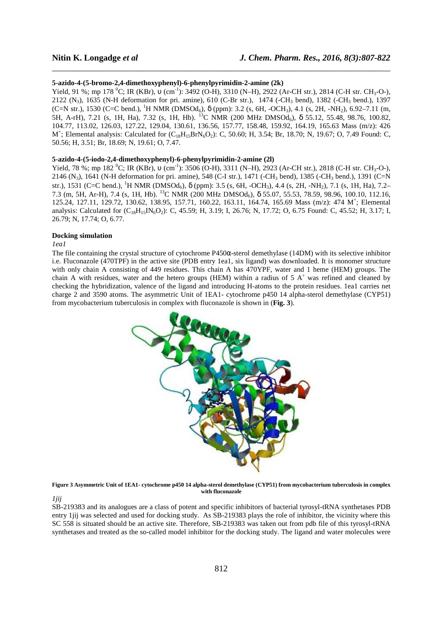### **5-azido-4-(5-bromo-2,4-dimethoxyphenyl)-6-phenylpyrimidin-2-amine (2k)**

Yield, 91 %; mp 178 <sup>0</sup>C; IR (KBr), υ (cm<sup>-1</sup>): 3492 (O-H), 3310 (N-H), 2922 (Ar-CH str.), 2814 (C-H str. CH<sub>3</sub>-O-), 2122 (N<sub>3</sub>), 1635 (N-H deformation for pri. amine), 610 (C-Br str.), 1474 (-CH<sub>3</sub> bend), 1382 (-CH<sub>3</sub> bend.), 1397 (C=N str.), 1530 (C=C bend.), <sup>1</sup>H NMR (DMSOd<sub>6</sub>),  $\delta$  (ppm): 3.2 (s, 6H, -OCH<sub>3</sub>), 4.1 (s, 2H, -NH<sub>2</sub>), 6.92–7.11 (m, 5H, A-rH), 7.21 (s, 1H, Ha), 7.32 (s, 1H, Hb). <sup>13</sup>C NMR (200 MHz DMSOd<sub>6</sub>), δ 55.12, 55.48, 98.76, 100.82, 104.77, 113.02, 126.03, 127.22, 129.04, 130.61, 136.56, 157.77, 158.48, 159.92, 164.19, 165.63 Mass (m/z): 426  $M^{+}$ ; Elemental analysis: Calculated for  $(C_{18}H_{15}BrN_6O_2)$ : C, 50.60; H, 3.54; Br, 18.70; N, 19.67; O, 7.49 Found: C, 50.56; H, 3.51; Br, 18.69; N, 19.61; O, 7.47.

\_\_\_\_\_\_\_\_\_\_\_\_\_\_\_\_\_\_\_\_\_\_\_\_\_\_\_\_\_\_\_\_\_\_\_\_\_\_\_\_\_\_\_\_\_\_\_\_\_\_\_\_\_\_\_\_\_\_\_\_\_\_\_\_\_\_\_\_\_\_\_\_\_\_\_\_\_\_

### **5-azido-4-(5-iodo-2,4-dimethoxyphenyl)-6-phenylpyrimidin-2-amine (2l)**

Yield, 78 %; mp 182 <sup>0</sup>C; IR (KBr), υ (cm<sup>-1</sup>): 3506 (O-H), 3311 (N-H), 2923 (Ar-CH str.), 2818 (C-H str. CH<sub>3</sub>-O-), 2146 (N<sub>3</sub>), 1641 (N-H deformation for pri. amine), 548 (C-I str.), 1471 (-CH<sub>3</sub> bend), 1385 (-CH<sub>3</sub> bend.), 1391 (C=N str.), 1531 (C=C bend.), <sup>1</sup>H NMR (DMSOd<sub>6</sub>),  $\delta$  (ppm): 3.5 (s, 6H, -OCH<sub>3</sub>), 4.4 (s, 2H, -NH<sub>2</sub>), 7.1 (s, 1H, Ha), 7.2– 7.3 (m, 5H, Ar-H), 7.4 (s, 1H, Hb). <sup>13</sup>C NMR (200 MHz DMSOd6), δ 55.07, 55.53, 78.59, 98.96, 100.10, 112.16, 125.24, 127.11, 129.72, 130.62, 138.95, 157.71, 160.22, 163.11, 164.74, 165.69 Mass (m/z): 474 M<sup>+</sup> ; Elemental analysis: Calculated for  $(C_{18}H_{15}N_6O_2)$ : C, 45.59; H, 3.19; I, 26.76; N, 17.72; O, 6.75 Found: C, 45.52; H, 3.17; I, 26.79; N, 17.74; O, 6.77.

### **Docking simulation**

### *1ea1*

The file containing the crystal structure of cytochrome P450α-sterol demethylase (14DM) with its selective inhibitor i.e. Fluconazole (470TPF) in the active site (PDB entry 1ea1, six ligand) was downloaded. It is monomer structure with only chain A consisting of 449 residues. This chain A has 470YPF, water and 1 heme (HEM) groups. The chain A with residues, water and the hetero groups (HEM) within a radius of 5 A˚ was refined and cleaned by checking the hybridization, valence of the ligand and introducing H-atoms to the protein residues. 1ea1 carries net charge 2 and 3590 atoms. The asymmetric Unit of 1EA1- cytochrome p450 14 alpha-sterol demethylase (CYP51) from mycobacterium tuberculosis in complex with fluconazole is shown in (**Fig. 3**).



**Figure 3 Asymmetric Unit of 1EA1- cytochrome p450 14 alpha-sterol demethylase (CYP51) from mycobacterium tuberculosis in complex with fluconazole** 

*1jij* 

SB-219383 and its analogues are a class of potent and specific inhibitors of bacterial tyrosyl-tRNA synthetases PDB entry 1jij was selected and used for docking study. As SB-219383 plays the role of inhibitor, the vicinity where this SC 558 is situated should be an active site. Therefore, SB-219383 was taken out from pdb file of this tyrosyl-tRNA synthetases and treated as the so-called model inhibitor for the docking study. The ligand and water molecules were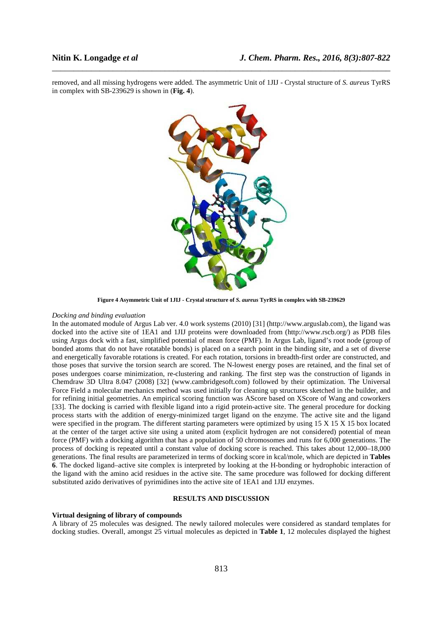removed, and all missing hydrogens were added. The asymmetric Unit of 1JIJ - Crystal structure of *S. aureus* TyrRS in complex with SB-239629 is shown in (**Fig. 4**).

\_\_\_\_\_\_\_\_\_\_\_\_\_\_\_\_\_\_\_\_\_\_\_\_\_\_\_\_\_\_\_\_\_\_\_\_\_\_\_\_\_\_\_\_\_\_\_\_\_\_\_\_\_\_\_\_\_\_\_\_\_\_\_\_\_\_\_\_\_\_\_\_\_\_\_\_\_\_



**Figure 4 Asymmetric Unit of 1JIJ - Crystal structure of** *S. aureus* **TyrRS in complex with SB-239629** 

## *Docking and binding evaluation*

In the automated module of Argus Lab ver. 4.0 work systems (2010) [31] (http://www.arguslab.com), the ligand was docked into the active site of 1EA1 and 1JIJ proteins were downloaded from (http://www.rscb.org/) as PDB files using Argus dock with a fast, simplified potential of mean force (PMF). In Argus Lab, ligand's root node (group of bonded atoms that do not have rotatable bonds) is placed on a search point in the binding site, and a set of diverse and energetically favorable rotations is created. For each rotation, torsions in breadth-first order are constructed, and those poses that survive the torsion search are scored. The N-lowest energy poses are retained, and the final set of poses undergoes coarse minimization, re-clustering and ranking. The first step was the construction of ligands in Chemdraw 3D Ultra 8.047 (2008) [32] (www.cambridgesoft.com) followed by their optimization. The Universal Force Field a molecular mechanics method was used initially for cleaning up structures sketched in the builder, and for refining initial geometries. An empirical scoring function was AScore based on XScore of Wang and coworkers [33]. The docking is carried with flexible ligand into a rigid protein-active site. The general procedure for docking process starts with the addition of energy-minimized target ligand on the enzyme. The active site and the ligand were specified in the program. The different starting parameters were optimized by using 15 X 15 X 15 box located at the center of the target active site using a united atom (explicit hydrogen are not considered) potential of mean force (PMF) with a docking algorithm that has a population of 50 chromosomes and runs for 6,000 generations. The process of docking is repeated until a constant value of docking score is reached. This takes about 12,000–18,000 generations. The final results are parameterized in terms of docking score in kcal/mole, which are depicted in **Tables 6**. The docked ligand–active site complex is interpreted by looking at the H-bonding or hydrophobic interaction of the ligand with the amino acid residues in the active site. The same procedure was followed for docking different substituted azido derivatives of pyrimidines into the active site of 1EA1 and 1JIJ enzymes.

## **RESULTS AND DISCUSSION**

# **Virtual designing of library of compounds**

A library of 25 molecules was designed. The newly tailored molecules were considered as standard templates for docking studies. Overall, amongst 25 virtual molecules as depicted in **Table 1**, 12 molecules displayed the highest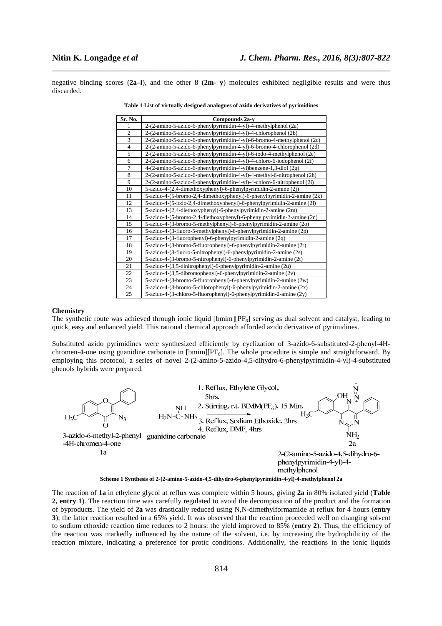negative binding scores (**2a–l**), and the other 8 (**2m- y**) molecules exhibited negligible results and were thus discarded.

\_\_\_\_\_\_\_\_\_\_\_\_\_\_\_\_\_\_\_\_\_\_\_\_\_\_\_\_\_\_\_\_\_\_\_\_\_\_\_\_\_\_\_\_\_\_\_\_\_\_\_\_\_\_\_\_\_\_\_\_\_\_\_\_\_\_\_\_\_\_\_\_\_\_\_\_\_\_

| Sr. No.        | Compounds 2a-y                                                         |
|----------------|------------------------------------------------------------------------|
| 1              | 2-(2-amino-5-azido-6-phenylpyrimidin-4-yl)-4-methylphenol (2a)         |
| 2              | 2-(2-amino-5-azido-6-phenylpyrimidin-4-yl)-4-chlorophenol (2b)         |
| 3              | 2-(2-amino-5-azido-6-phenylpyrimidin-4-yl)-6-bromo-4-methylphenol (2c) |
| $\overline{4}$ | 2-(2-amino-5-azido-6-phenylpyrimidin-4-yl)-6-bromo-4-chlorophenol (2d) |
| 5              | 2-(2-amino-5-azido-6-phenylpyrimidin-4-yl)-6-iodo-4-methylphenol (2e)  |
| 6              | 2-(2-amino-5-azido-6-phenylpyrimidin-4-yl)-4-chloro-6-iodophenol (2f)  |
| 7              | 4-(2-amino-5-azido-6-phenylpyrimidin-4-yl)benzene-1,3-diol (2g)        |
| 8              | 2-(2-amino-5-azido-6-phenylpyrimidin-4-yl)-4-methyl-6-nitrophenol (2h) |
| 9              | 2-(2-amino-5-azido-6-phenylpyrimidin-4-yl)-4-chloro-6-nitrophenol (2i) |
| 10             | 5-azido-4-(2,4-dimethoxyphenyl)-6-phenylpyrimidin-2-amine (2j)         |
| 11             | 5-azido-4-(5-bromo-2,4-dimethoxyphenyl)-6-phenylpyrimidin-2-amine (2k) |
| 12             | 5-azido-4-(5-iodo-2,4-dimethoxyphenyl)-6-phenylpyrimidin-2-amine (2l)  |
| 13             | 5-azido-4-(2,4-diethoxyphenyl)-6-phenylpyrimidin-2-amine (2m)          |
| 14             | 5-azido-4-(5-bromo-2,4-diethoxyphenyl)-6-phenylpyrimidin-2-amine (2n)  |
| 15             | 5-azido-4-(3-bromo-5-methylphenyl)-6-phenylpyrimidin-2-amine (20)      |
| 16             | 5-azido-4-(3-fluoro-5-methylphenyl)-6-phenylpyrimidin-2-amine (2p)     |
| 17             | 5-azido-4-(3-fluorophenyl)-6-phenylpyrimidin-2-amine (2q)              |
| 18             | 5-azido-4-(3-bromo-5-fluorophenyl)-6-phenylpyrimidin-2-amine (2r)      |
| 19             | 5-azido-4-(3-fluoro-5-nitrophenyl)-6-phenylpyrimidin-2-amine (2s)      |
| 20             | 5-azido-4-(3-bromo-5-nitrophenyl)-6-phenylpyrimidin-2-amine (2t)       |
| 21             | 5-azido-4-(3,5-dinitrophenyl)-6-phenylpyrimidin-2-amine (2u)           |
| 22             | 5-azido-4-(3,5-dibromophenyl)-6-phenylpyrimidin-2-amine (2v)           |
| 23             | 5-azido-4-(3-bromo-5-fluorophenyl)-6-phenylpyrimidin-2-amine (2w)      |
| 24             | 5-azido-4-(3-bromo-5-chlorophenyl)-6-phenylpyrimidin-2-amine (2x)      |
| 25             | 5-azido-4-(3-chloro-5-fluorophenyl)-6-phenylpyrimidin-2-amine (2y)     |

| Table 1 List of virtually designed analogues of azido derivatives of pyrimidines |  |  |
|----------------------------------------------------------------------------------|--|--|
|                                                                                  |  |  |

### **Chemistry**

The synthetic route was achieved through ionic liquid  $[bmin][PF<sub>6</sub>]$  serving as dual solvent and catalyst, leading to quick, easy and enhanced yield. This rational chemical approach afforded azido derivative of pyrimidines.

Substituted azido pyrimidines were synthesized efficiently by cyclization of 3-azido-6-substituted-2-phenyl-4Hchromen-4-one using guanidine carbonate in  $[bmin][PF_6]$ . The whole procedure is simple and straightforward. By employing this protocol, a series of novel 2-(2-amino-5-azido-4,5-dihydro-6-phenylpyrimidin-4-yl)-4-substituted phenols hybrids were prepared.



The reaction of **1a** in ethylene glycol at reflux was complete within 5 hours, giving **2a** in 80% isolated yield (**Table 2, entry 1**). The reaction time was carefully regulated to avoid the decomposition of the product and the formation of byproducts. The yield of **2a** was drastically reduced using N,N-dimethylformamide at reflux for 4 hours (**entry 3**); the latter reaction resulted in a 65% yield. It was observed that the reaction proceeded well on changing solvent to sodium ethoxide reaction time reduces to 2 hours: the yield improved to 85% (**entry 2**). Thus, the efficiency of the reaction was markedly influenced by the nature of the solvent, i.e. by increasing the hydrophilicity of the reaction mixture, indicating a preference for protic conditions. Additionally, the reactions in the ionic liquids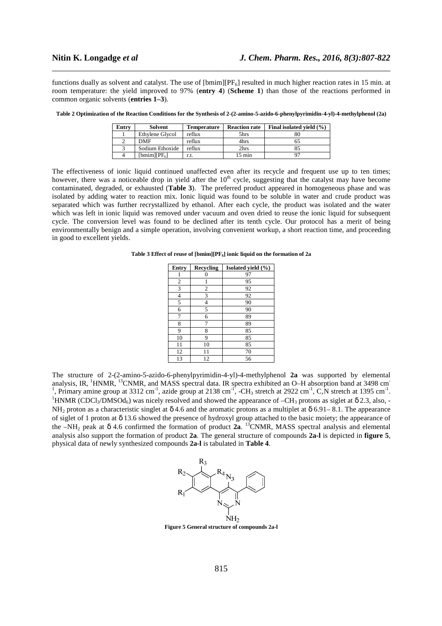functions dually as solvent and catalyst. The use of  $[bmin][PF_6]$  resulted in much higher reaction rates in 15 min. at room temperature: the yield improved to 97% (**entry 4**) (**Scheme 1**) than those of the reactions performed in common organic solvents (**entries 1–3**).

\_\_\_\_\_\_\_\_\_\_\_\_\_\_\_\_\_\_\_\_\_\_\_\_\_\_\_\_\_\_\_\_\_\_\_\_\_\_\_\_\_\_\_\_\_\_\_\_\_\_\_\_\_\_\_\_\_\_\_\_\_\_\_\_\_\_\_\_\_\_\_\_\_\_\_\_\_\_

| Entry | Solvent         | Temperature | <b>Reaction rate</b> | Final isolated vield (%) |
|-------|-----------------|-------------|----------------------|--------------------------|
|       | Ethylene Glycol | reflux      | 5hrs                 | 80                       |
|       | DMF             | reflux      | 4hrs                 | כס                       |
|       | Sodium Ethoxide | reflux      | 2hrs                 | 85                       |
| 4     | $[bmim][PF_6]$  | r.t.        | $15 \text{ min}$     |                          |

**Table 2 Optimization of the Reaction Conditions for the Synthesis of 2-(2-amino-5-azido-6-phenylpyrimidin-4-yl)-4-methylphenol (2a)** 

The effectiveness of ionic liquid continued unaffected even after its recycle and frequent use up to ten times; however, there was a noticeable drop in yield after the  $10<sup>th</sup>$  cycle, suggesting that the catalyst may have become contaminated, degraded, or exhausted (**Table 3**). The preferred product appeared in homogeneous phase and was isolated by adding water to reaction mix. Ionic liquid was found to be soluble in water and crude product was separated which was further recrystallized by ethanol. After each cycle, the product was isolated and the water which was left in ionic liquid was removed under vacuum and oven dried to reuse the ionic liquid for subsequent cycle. The conversion level was found to be declined after its tenth cycle. Our protocol has a merit of being environmentally benign and a simple operation, involving convenient workup, a short reaction time, and proceeding in good to excellent yields.

**Table 3 Effect of reuse of [bmim][PF6] ionic liquid on the formation of 2a** 

| <b>Entry</b>   | <b>Recycling</b> | Isolated yield (%) |
|----------------|------------------|--------------------|
|                | 0                | 97                 |
| $\overline{c}$ |                  | 95                 |
| 3              | 2                | 92                 |
| $\overline{4}$ | 3                | 92                 |
| 5              | 4                | 90                 |
| 6              | 5                | 90                 |
| 7              | 6                | 89                 |
| 8              |                  | 89                 |
| 9              | 8                | 85                 |
| 10             | 9                | 85                 |
| 11             | 10               | 85                 |
| 12             | 11               | 70                 |
| 13             | 12               | 56                 |

The structure of 2-(2-amino-5-azido-6-phenylpyrimidin-4-yl)-4-methylphenol **2a** was supported by elemental analysis, IR, <sup>1</sup>HNMR, <sup>13</sup>CNMR, and MASS spectral data. IR spectra exhibited an O–H absorption band at 3498 cm<sup>-</sup> <sup>1</sup>, Primary amine group at 3312 cm<sup>-1</sup>, azide group at 2138 cm<sup>-1</sup>, -CH<sub>3</sub> stretch at 2922 cm<sup>-1</sup>, C,N stretch at 1395 cm<sup>-1</sup>. <sup>1</sup>HNMR (CDCl<sub>3</sub>/DMSOd<sub>6</sub>) was nicely resolved and showed the appearance of  $-CH_3$  protons as siglet at  $\delta$  2.3, also, -NH<sub>2</sub> proton as a characteristic singlet at  $\delta$  4.6 and the aromatic protons as a multiplet at  $\delta$  6.91–8.1. The appearance of siglet of 1 proton at δ 13.6 showed the presence of hydroxyl group attached to the basic moiety; the appearance of the  $-NH_2$  peak at  $\delta$  4.6 confirmed the formation of product **2a**. <sup>13</sup>CNMR, MASS spectral analysis and elemental analysis also support the formation of product **2a**. The general structure of compounds **2a-l** is depicted in **figure 5**, physical data of newly synthesized compounds **2a-l** is tabulated in **Table 4**.



**Figure 5 General structure of compounds 2a-l**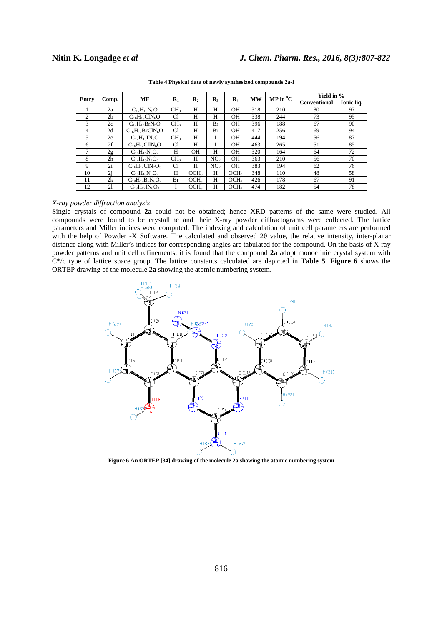| Entry          |                | МF                     | $\mathbf{R}_1$  |                  | $\mathbf{R}_3$  | $\mathbf{R}_4$   | <b>MW</b> | $\mathbf{MP}$ in $^0\mathbf{C}$ | Yield in %   |            |
|----------------|----------------|------------------------|-----------------|------------------|-----------------|------------------|-----------|---------------------------------|--------------|------------|
|                | Comp.          |                        |                 | $\mathbf{R}_2$   |                 |                  |           |                                 | Conventional | Ionic lia. |
|                | 2a             | $C_{17}H_{16}N_6O$     | CH <sub>3</sub> | Н                | Н               | OН               | 318       | 210                             | 80           | 97         |
| $\overline{c}$ | 2 <sub>b</sub> | $C_{16}H_{13}CIN_6O$   | Cl              | Н                | H               | OН               | 338       | 244                             | 73           | 95         |
| 3              | 2c             | $C_{17}H_{15}BrN_6O$   | CH <sub>3</sub> | Н                | Br              | OН               | 396       | 188                             | 67           | 90         |
| 4              | 2d             | $C_{16}H_{12}BrClN_6O$ | Cl              | Н                | Br              | <b>OH</b>        | 417       | 256                             | 69           | 94         |
| 5              | 2e             | $C_{17}H_{15}IN_6O$    | CH <sub>3</sub> | H                |                 | OН               | 444       | 194                             | 56           | 87         |
| 6              | 2f             | $C_{16}H_{12}ClIN_6O$  | Cl              | Н                |                 | OН               | 463       | 265                             | 51           | 85         |
| 7              | 2g             | $C_{16}H_{14}N_6O_2$   | H               | <b>OH</b>        | H               | <b>OH</b>        | 320       | 164                             | 64           | 72         |
| 8              | 2 <sub>h</sub> | $C_{17}H_{15}N_7O_3$   | CH <sub>3</sub> | H                | NO <sub>2</sub> | <b>OH</b>        | 363       | 210                             | 56           | 70         |
| 9              | 2i             | $C_{16}H_{12}CIN_7O_3$ | Cl              | Н                | NO <sub>2</sub> | <b>OH</b>        | 383       | 194                             | 62           | 76         |
| 10             | 2j             | $C_{18}H_{18}N_6O_2$   | Н               | OCH <sub>3</sub> | H               | OCH <sub>3</sub> | 348       | 110                             | 48           | 58         |
| 11             | 2k             | $C_{18}H_{17}BrN_6O_2$ | Br              | OCH <sub>3</sub> | H               | OCH <sub>3</sub> | 426       | 178                             | 67           | 91         |
| 12             | 21             | $C_{18}H_{17}IN_6O_2$  |                 | OCH <sub>3</sub> | Н               | OCH <sub>3</sub> | 474       | 182                             | 54           | 78         |

\_\_\_\_\_\_\_\_\_\_\_\_\_\_\_\_\_\_\_\_\_\_\_\_\_\_\_\_\_\_\_\_\_\_\_\_\_\_\_\_\_\_\_\_\_\_\_\_\_\_\_\_\_\_\_\_\_\_\_\_\_\_\_\_\_\_\_\_\_\_\_\_\_\_\_\_\_\_ **Table 4 Physical data of newly synthesized compounds 2a-l** 

### *X-ray powder diffraction analysis*

Single crystals of compound **2a** could not be obtained; hence XRD patterns of the same were studied. All compounds were found to be crystalline and their X-ray powder diffractograms were collected. The lattice parameters and Miller indices were computed. The indexing and calculation of unit cell parameters are performed with the help of Powder -X Software. The calculated and observed 2θ value, the relative intensity, inter-planar distance along with Miller's indices for corresponding angles are tabulated for the compound. On the basis of X-ray powder patterns and unit cell refinements, it is found that the compound **2a** adopt monoclinic crystal system with C\*/c type of lattice space group. The lattice constants calculated are depicted in **Table 5**. **Figure 6** shows the ORTEP drawing of the molecule **2a** showing the atomic numbering system.



**Figure 6 An ORTEP [34] drawing of the molecule 2a showing the atomic numbering system**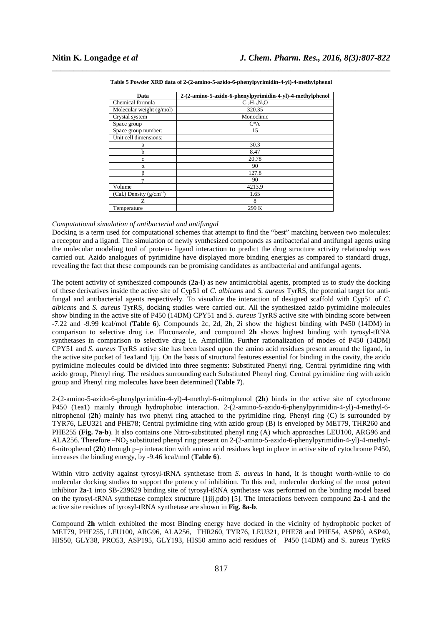| Data                         | 2-(2-amino-5-azido-6-phenylpyrimidin-4-yl)-4-methylphenol |
|------------------------------|-----------------------------------------------------------|
| Chemical formula             | $C_{17}H_{16}N_6O$                                        |
| Molecular weight $(g/mol)$   | 320.35                                                    |
| Crystal system               | Monoclinic                                                |
| Space group                  | $C^*/c$                                                   |
| Space group number:          | 15                                                        |
| Unit cell dimensions:        |                                                           |
| a                            | 30.3                                                      |
| b                            | 8.47                                                      |
| $\mathbf c$                  | 20.78                                                     |
| $\alpha$                     | 90                                                        |
|                              | 127.8                                                     |
|                              | 90                                                        |
| Volume                       | 4213.9                                                    |
| (Cal.) Density $(g/cm^{-3})$ | 1.65                                                      |
| Z                            | 8                                                         |
| Temperature                  | 299 K                                                     |

\_\_\_\_\_\_\_\_\_\_\_\_\_\_\_\_\_\_\_\_\_\_\_\_\_\_\_\_\_\_\_\_\_\_\_\_\_\_\_\_\_\_\_\_\_\_\_\_\_\_\_\_\_\_\_\_\_\_\_\_\_\_\_\_\_\_\_\_\_\_\_\_\_\_\_\_\_\_ **Table 5 Powder XRD data of 2-(2-amino-5-azido-6-phenylpyrimidin-4-yl)-4-methylphenol** 

# *Computational simulation of antibacterial and antifungal*

Docking is a term used for computational schemes that attempt to find the "best" matching between two molecules: a receptor and a ligand. The simulation of newly synthesized compounds as antibacterial and antifungal agents using the molecular modeling tool of protein- ligand interaction to predict the drug structure activity relationship was carried out. Azido analogues of pyrimidine have displayed more binding energies as compared to standard drugs, revealing the fact that these compounds can be promising candidates as antibacterial and antifungal agents.

The potent activity of synthesized compounds (**2a-l**) as new antimicrobial agents, prompted us to study the docking of these derivatives inside the active site of Cyp51 of *C. albicans* and *S. aureus* TyrRS, the potential target for antifungal and antibacterial agents respectively. To visualize the interaction of designed scaffold with Cyp51 of *C. albicans* and *S. aureus* TyrRS, docking studies were carried out. All the synthesized azido pyrimidine molecules show binding in the active site of P450 (14DM) CPY51 and *S. aureus* TyrRS active site with binding score between -7.22 and -9.99 kcal/mol (**Table 6**). Compounds 2c, 2d, 2h, 2i show the highest binding with P450 (14DM) in comparison to selective drug i.e. Fluconazole, and compound **2h** shows highest binding with tyrosyl-tRNA synthetases in comparison to selective drug i.e. Ampicillin. Further rationalization of modes of P450 (14DM) CPY51 and *S. aureus* TyrRS active site has been based upon the amino acid residues present around the ligand, in the active site pocket of 1ea1and 1jij. On the basis of structural features essential for binding in the cavity, the azido pyrimidine molecules could be divided into three segments: Substituted Phenyl ring, Central pyrimidine ring with azido group, Phenyl ring. The residues surrounding each Substituted Phenyl ring, Central pyrimidine ring with azido group and Phenyl ring molecules have been determined (**Table 7**).

2-(2-amino-5-azido-6-phenylpyrimidin-4-yl)-4-methyl-6-nitrophenol (**2h**) binds in the active site of cytochrome P450 (1ea1) mainly through hydrophobic interaction. 2-(2-amino-5-azido-6-phenylpyrimidin-4-yl)-4-methyl-6 nitrophenol (**2h**) mainly has two phenyl ring attached to the pyrimidine ring. Phenyl ring (C) is surrounded by TYR76, LEU321 and PHE78; Central pyrimidine ring with azido group (B) is enveloped by MET79, THR260 and PHE255 (**Fig. 7a-b**). It also contains one Nitro-substituted phenyl ring (A) which approaches LEU100, ARG96 and ALA256. Therefore –NO<sub>2</sub> substituted phenyl ring present on 2-(2-amino-5-azido-6-phenylpyrimidin-4-yl)-4-methyl-6-nitrophenol (**2h**) through p–p interaction with amino acid residues kept in place in active site of cytochrome P450, increases the binding energy, by -9.46 kcal/mol (**Table 6**).

Within vitro activity against tyrosyl-tRNA synthetase from *S. aureus* in hand, it is thought worth-while to do molecular docking studies to support the potency of inhibition. To this end, molecular docking of the most potent inhibitor **2a-1** into SB-239629 binding site of tyrosyl-tRNA synthetase was performed on the binding model based on the tyrosyl-tRNA synthetase complex structure (1jij.pdb) [5]. The interactions between compound **2a-1** and the active site residues of tyrosyl-tRNA synthetase are shown in **Fig. 8a-b**.

Compound **2h** which exhibited the most Binding energy have docked in the vicinity of hydrophobic pocket of MET79, PHE255, LEU100, ARG96, ALA256, THR260, TYR76, LEU321, PHE78 and PHE54, ASP80, ASP40, HIS50, GLY38, PRO53, ASP195, GLY193, HIS50 amino acid residues of P450 (14DM) and S. aureus TyrRS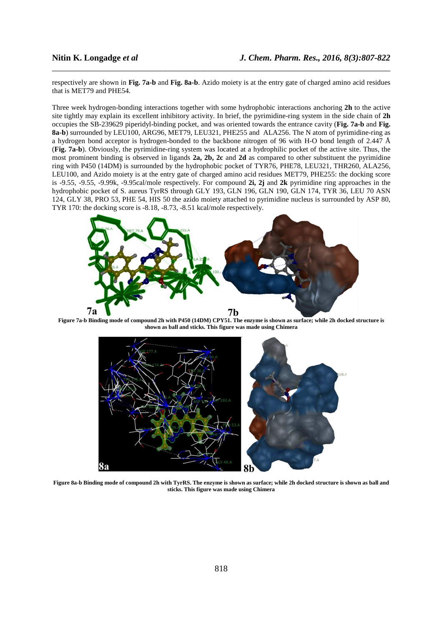respectively are shown in **Fig. 7a-b** and **Fig. 8a-b**. Azido moiety is at the entry gate of charged amino acid residues that is MET79 and PHE54.

\_\_\_\_\_\_\_\_\_\_\_\_\_\_\_\_\_\_\_\_\_\_\_\_\_\_\_\_\_\_\_\_\_\_\_\_\_\_\_\_\_\_\_\_\_\_\_\_\_\_\_\_\_\_\_\_\_\_\_\_\_\_\_\_\_\_\_\_\_\_\_\_\_\_\_\_\_\_

Three week hydrogen-bonding interactions together with some hydrophobic interactions anchoring **2h** to the active site tightly may explain its excellent inhibitory activity. In brief, the pyrimidine-ring system in the side chain of **2h** occupies the SB-239629 piperidyl-binding pocket, and was oriented towards the entrance cavity (**Fig. 7a-b** and **Fig. 8a-b**) surrounded by LEU100, ARG96, MET79, LEU321, PHE255 and ALA256. The N atom of pyrimidine-ring as a hydrogen bond acceptor is hydrogen-bonded to the backbone nitrogen of 96 with H-O bond length of 2.447 Å (**Fig. 7a-b**). Obviously, the pyrimidine-ring system was located at a hydrophilic pocket of the active site. Thus, the most prominent binding is observed in ligands 2a, 2b, 2c and 2d as compared to other substituent the pyrimidine ring with P450 (14DM) is surrounded by the hydrophobic pocket of TYR76, PHE78, LEU321, THR260, ALA256, LEU100, and Azido moiety is at the entry gate of charged amino acid residues MET79, PHE255: the docking score is -9.55, -9.55, -9.99k, -9.95cal/mole respectively. For compound **2i, 2j** and **2k** pyrimidine ring approaches in the hydrophobic pocket of S. aureus TyrRS through GLY 193, GLN 196, GLN 190, GLN 174, TYR 36, LEU 70 ASN 124, GLY 38, PRO 53, PHE 54, HIS 50 the azido moiety attached to pyrimidine nucleus is surrounded by ASP 80, TYR 170: the docking score is -8.18, -8.73, -8.51 kcal/mole respectively.



**Figure 7a-b Binding mode of compound 2h with P450 (14DM) CPY51. The enzyme is shown as surface; while 2h docked structure is shown as ball and sticks. This figure was made using Chimera** 



**Figure 8a-b Binding mode of compound 2h with TyrRS. The enzyme is shown as surface; while 2h docked structure is shown as ball and sticks. This figure was made using Chimera**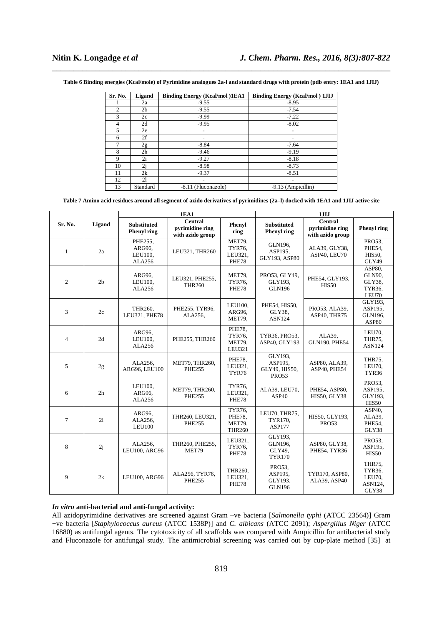\_\_\_\_\_\_\_\_\_\_\_\_\_\_\_\_\_\_\_\_\_\_\_\_\_\_\_\_\_\_\_\_\_\_\_\_\_\_\_\_\_\_\_\_\_\_\_\_\_\_\_\_\_\_\_\_\_\_\_\_\_\_\_\_\_\_\_\_\_\_\_\_\_\_\_\_\_\_ **Table 6 Binding energies (Kcal/mole) of Pyrimidine analogues 2a-l and standard drugs with protein (pdb entry: 1EA1 and 1JIJ)** 

| Sr. No.        | Ligand         | <b>Binding Energy (Kcal/mol)1EA1</b> | <b>Binding Energy (Kcal/mol) 1JIJ</b> |
|----------------|----------------|--------------------------------------|---------------------------------------|
|                | 2a             | $-9.55$                              | $-8.95$                               |
| $\overline{c}$ | 2 <sub>b</sub> | $-9.55$                              | $-7.54$                               |
| 3              | 2c             | $-9.99$                              | $-7.22$                               |
| 4              | 2d             | $-9.95$                              | $-8.02$                               |
| 5              | 2e             |                                      |                                       |
| 6              | 2f             |                                      |                                       |
| 7              | 2g             | $-8.84$                              | $-7.64$                               |
| 8              | 2 <sub>h</sub> | $-9.46$                              | $-9.19$                               |
| 9              | 2i             | $-9.27$                              | $-8.18$                               |
| 10             | 2j             | $-8.98$                              | $-8.73$                               |
| 11             | 2k             | $-9.37$                              | $-8.51$                               |
| 12             | 21             | -                                    |                                       |
| 13             | Standard       | -8.11 (Fluconazole)                  | -9.13 (Ampicillin)                    |

# **Table 7 Amino acid residues around all segment of azido derivatives of pyrimidines (2a–l) docked with 1EA1 and 1JIJ active site**

|                |                |                                          | <b>1EA1</b>                                           |                                             | 1JIJ                                                |                                                       |                                                       |  |
|----------------|----------------|------------------------------------------|-------------------------------------------------------|---------------------------------------------|-----------------------------------------------------|-------------------------------------------------------|-------------------------------------------------------|--|
| Sr. No.        | Ligand         | <b>Substituted</b><br><b>Phenyl</b> ring | <b>Central</b><br>pyrimidine ring<br>with azido group | Phenyl<br>ring                              | <b>Substituted</b><br><b>Phenyl</b> ring            | <b>Central</b><br>pyrimidine ring<br>with azido group | <b>Phenyl</b> ring                                    |  |
| $\mathbf{1}$   | 2a             | PHE255.<br>ARG96.<br>LEU100,<br>ALA256   | LEU321, THR260                                        | MET79,<br>TYR76,<br>LEU321,<br>PHE78        | GLN196,<br>ASP195.<br>GLY193, ASP80                 | ALA39, GLY38,<br>ASP40, LEU70                         | PRO53,<br>PHE54,<br>HIS50,<br>GLY49                   |  |
| $\overline{c}$ | 2 <sub>b</sub> | ARG96.<br>LEU100,<br>ALA256              | LEU321, PHE255,<br><b>THR260</b>                      | MET79,<br><b>TYR76.</b><br>PHE78            | PRO53, GLY49,<br>GLY193,<br><b>GLN196</b>           | PHE54, GLY193,<br><b>HIS50</b>                        | ASP80,<br><b>GLN90,</b><br>GLY38,<br>TYR36,<br>LEU70  |  |
| 3              | 2c             | THR260,<br>LEU321, PHE78                 | PHE255, TYR96,<br>ALA256,                             | LEU100,<br>ARG96,<br>MET79,                 | PHE54, HIS50,<br>GLY38.<br>ASN124                   | PRO53, ALA39,<br>ASP40, THR75                         | GLY193.<br>ASP195,<br>GLN196,<br><b>ASP80</b>         |  |
| $\overline{4}$ | 2d             | ARG96,<br>LEU100,<br>ALA256              | PHE255, THR260                                        | PHE78.<br><b>TYR76.</b><br>MET79,<br>LEU321 | TYR36, PRO53,<br>ASP40, GLY193                      | ALA39,<br><b>GLN190, PHE54</b>                        | LEU70,<br>THR75,<br><b>ASN124</b>                     |  |
| 5              | 2g             | ALA256,<br>ARG96, LEU100                 | MET79, THR260,<br><b>PHE255</b>                       | PHE78.<br>LEU321,<br>TYR76                  | GLY193.<br>ASP195.<br>GLY49, HIS50,<br><b>PRO53</b> | ASP80, ALA39,<br>ASP40, PHE54                         | THR75.<br>LEU70,<br>TYR36                             |  |
| 6              | 2 <sub>h</sub> | LEU100,<br>ARG96.<br>ALA256              | MET79, THR260,<br><b>PHE255</b>                       | <b>TYR76.</b><br>LEU321,<br>PHE78           | ALA39, LEU70,<br>ASP40                              | PHE54, ASP80,<br><b>HIS50, GLY38</b>                  | PRO53.<br>ASP195,<br>GLY193,<br>HIS50                 |  |
| $\tau$         | 2i             | ARG96,<br>ALA256,<br><b>LEU100</b>       | THR260, LEU321,<br><b>PHE255</b>                      | TYR76.<br>PHE78,<br>MET79,<br><b>THR260</b> | LEU70, THR75,<br>TYR170,<br><b>ASP177</b>           | HIS50, GLY193,<br><b>PRO53</b>                        | ASP40.<br>ALA39.<br>PHE54,<br>GLY38                   |  |
| 8              | 2j             | ALA256.<br>LEU100, ARG96                 | THR260, PHE255,<br>MET79                              | LEU321,<br>TYR76,<br>PHE78                  | GLY193.<br>GLN196,<br>GLY49,<br><b>TYR170</b>       | ASP80, GLY38,<br>PHE54, TYR36                         | PRO53.<br>ASP195,<br>HIS50                            |  |
| 9              | 2k             | LEU100, ARG96                            | ALA256, TYR76,<br><b>PHE255</b>                       | THR260,<br>LEU321,<br>PHE78                 | PRO53.<br>ASP195.<br>GLY193.<br><b>GLN196</b>       | TYR170, ASP80,<br>ALA39, ASP40                        | THR75.<br><b>TYR36.</b><br>LEU70,<br>ASN124,<br>GLY38 |  |

# *In vitro* **anti-bacterial and anti-fungal activity:**

All azidopyrimidine derivatives are screened against Gram –ve bacteria [*Salmonella typhi* (ATCC 23564)] Gram +ve bacteria [*Staphylococcus aureus* (ATCC 1538P)] and *C. albicans* (ATCC 2091); *Aspergillus Niger* (ATCC 16880) as antifungal agents. The cytotoxicity of all scaffolds was compared with Ampicillin for antibacterial study and Fluconazole for antifungal study. The antimicrobial screening was carried out by cup-plate method [35] at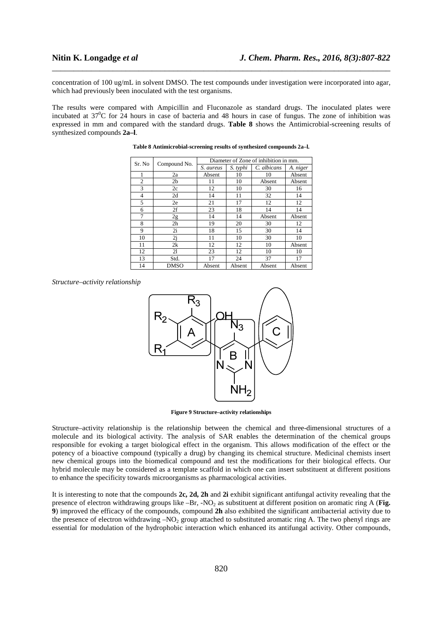concentration of 100 ug/mL in solvent DMSO. The test compounds under investigation were incorporated into agar, which had previously been inoculated with the test organisms.

\_\_\_\_\_\_\_\_\_\_\_\_\_\_\_\_\_\_\_\_\_\_\_\_\_\_\_\_\_\_\_\_\_\_\_\_\_\_\_\_\_\_\_\_\_\_\_\_\_\_\_\_\_\_\_\_\_\_\_\_\_\_\_\_\_\_\_\_\_\_\_\_\_\_\_\_\_\_

The results were compared with Ampicillin and Fluconazole as standard drugs. The inoculated plates were incubated at  $37^{\circ}$ C for 24 hours in case of bacteria and 48 hours in case of fungus. The zone of inhibition was expressed in mm and compared with the standard drugs. **Table 8** shows the Antimicrobial-screening results of synthesized compounds **2a–l**.

| Sr. No         | Compound No.   | Diameter of Zone of inhibition in mm. |          |             |          |  |  |  |
|----------------|----------------|---------------------------------------|----------|-------------|----------|--|--|--|
|                |                | S. aureus                             | S. typhi | C. albicans | A. niger |  |  |  |
| 1              | 2a             | Absent                                | 10       | 10          | Absent   |  |  |  |
| $\overline{c}$ | 2 <sub>b</sub> | 11                                    | 10       | Absent      | Absent   |  |  |  |
| 3              | 2c             | 12                                    | 10       | 30          | 16       |  |  |  |
| 4              | 2d             | 14                                    | 11       | 32          | 14       |  |  |  |
| 5              | 2e             | 21                                    | 17       | 12          | 12       |  |  |  |
| 6              | 2f             | 23                                    | 18       | 14          | 14       |  |  |  |
| 7              | 2g             | 14                                    | 14       | Absent      | Absent   |  |  |  |
| 8              | 2 <sub>h</sub> | 19                                    | 20       | 30          | 12       |  |  |  |
| 9              | 2i             | 18                                    | 15       | 30          | 14       |  |  |  |
| 10             | 2j             | 11                                    | 10       | 30          | 10       |  |  |  |
| 11             | 2k             | 12                                    | 12       | 10          | Absent   |  |  |  |
| 12             | 21             | 23                                    | 12       | 10          | 10       |  |  |  |
| 13             | Std.           | 17                                    | 24       | 37          | 17       |  |  |  |
| 14             | <b>DMSO</b>    | Absent                                | Absent   | Absent      | Absent   |  |  |  |

### **Table 8 Antimicrobial-screening results of synthesized compounds 2a–l.**

*Structure–activity relationship*



**Figure 9 Structure–activity relationships** 

Structure–activity relationship is the relationship between the chemical and three-dimensional structures of a molecule and its biological activity. The analysis of SAR enables the determination of the chemical groups responsible for evoking a target biological effect in the organism. This allows modification of the effect or the potency of a bioactive compound (typically a drug) by changing its chemical structure. Medicinal chemists insert new chemical groups into the biomedical compound and test the modifications for their biological effects. Our hybrid molecule may be considered as a template scaffold in which one can insert substituent at different positions to enhance the specificity towards microorganisms as pharmacological activities.

It is interesting to note that the compounds **2c, 2d, 2h** and **2i** exhibit significant antifungal activity revealing that the presence of electron withdrawing groups like  $-Br$ ,  $-NO<sub>2</sub>$  as substituent at different position on aromatic ring A (**Fig. 9**) improved the efficacy of the compounds, compound **2h** also exhibited the significant antibacterial activity due to the presence of electron withdrawing  $-NO<sub>2</sub>$  group attached to substituted aromatic ring A. The two phenyl rings are essential for modulation of the hydrophobic interaction which enhanced its antifungal activity. Other compounds,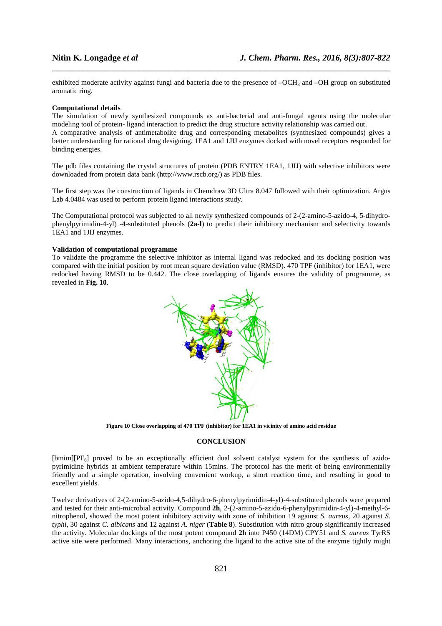exhibited moderate activity against fungi and bacteria due to the presence of  $-OCH<sub>3</sub>$  and  $-OH$  group on substituted aromatic ring.

\_\_\_\_\_\_\_\_\_\_\_\_\_\_\_\_\_\_\_\_\_\_\_\_\_\_\_\_\_\_\_\_\_\_\_\_\_\_\_\_\_\_\_\_\_\_\_\_\_\_\_\_\_\_\_\_\_\_\_\_\_\_\_\_\_\_\_\_\_\_\_\_\_\_\_\_\_\_

### **Computational details**

The simulation of newly synthesized compounds as anti-bacterial and anti-fungal agents using the molecular modeling tool of protein- ligand interaction to predict the drug structure activity relationship was carried out.

A comparative analysis of antimetabolite drug and corresponding metabolites (synthesized compounds) gives a better understanding for rational drug designing. 1EA1 and 1JIJ enzymes docked with novel receptors responded for binding energies.

The pdb files containing the crystal structures of protein (PDB ENTRY 1EA1, 1JIJ) with selective inhibitors were downloaded from protein data bank (http://www.rscb.org/) as PDB files.

The first step was the construction of ligands in Chemdraw 3D Ultra 8.047 followed with their optimization. Argus Lab 4.0484 was used to perform protein ligand interactions study.

The Computational protocol was subjected to all newly synthesized compounds of 2-(2-amino-5-azido-4, 5-dihydrophenylpyrimidin-4-yl) -4-substituted phenols (**2a-l**) to predict their inhibitory mechanism and selectivity towards 1EA1 and 1JIJ enzymes.

# **Validation of computational programme**

To validate the programme the selective inhibitor as internal ligand was redocked and its docking position was compared with the initial position by root mean square deviation value (RMSD). 470 TPF (inhibitor) for 1EA1, were redocked having RMSD to be 0.442. The close overlapping of ligands ensures the validity of programme, as revealed in **Fig. 10**.



**Figure 10 Close overlapping of 470 TPF (inhibitor) for 1EA1 in vicinity of amino acid residue** 

### **CONCLUSION**

[bmim][PF<sub>6</sub>] proved to be an exceptionally efficient dual solvent catalyst system for the synthesis of azidopyrimidine hybrids at ambient temperature within 15mins. The protocol has the merit of being environmentally friendly and a simple operation, involving convenient workup, a short reaction time, and resulting in good to excellent yields.

Twelve derivatives of 2-(2-amino-5-azido-4,5-dihydro-6-phenylpyrimidin-4-yl)-4-substituted phenols were prepared and tested for their anti-microbial activity. Compound **2h**, 2-(2-amino-5-azido-6-phenylpyrimidin-4-yl)-4-methyl-6 nitrophenol, showed the most potent inhibitory activity with zone of inhibition 19 against *S. aureus*, 20 against *S. typhi*, 30 against *C. albicans* and 12 against *A. niger* (**Table 8**). Substitution with nitro group significantly increased the activity. Molecular dockings of the most potent compound **2h** into P450 (14DM) CPY51 and *S. aureus* TyrRS active site were performed. Many interactions, anchoring the ligand to the active site of the enzyme tightly might